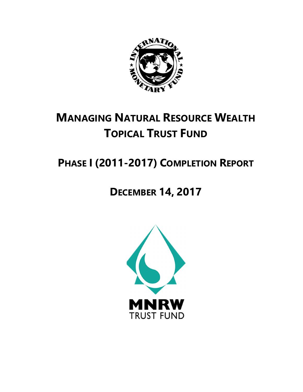

# **MANAGING NATURAL RESOURCE WEALTH TOPICAL TRUST FUND**

# **PHASE I (2011-2017) COMPLETION REPORT**

# **DECEMBER 14, 2017**

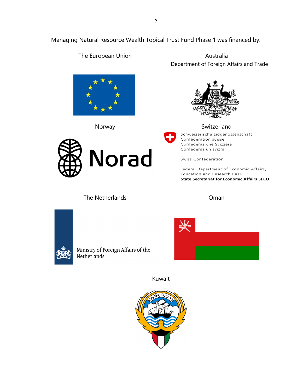Managing Natural Resource Wealth Topical Trust Fund Phase 1 was financed by:



Norway **Switzerland** 



The European Union **Australia** Department of Foreign Affairs and Trade



Schweizerische Eidgenossenschaft Confédération suisse Confederazione Svizzera Confederaziun svizra

Swiss Confederation

Federal Department of Economic Affairs, Education and Research EAER **State Secretariat for Economic Affairs SECO** 

The Netherlands **Oman** 



Ministry of Foreign Affairs of the Netherlands



Kuwait

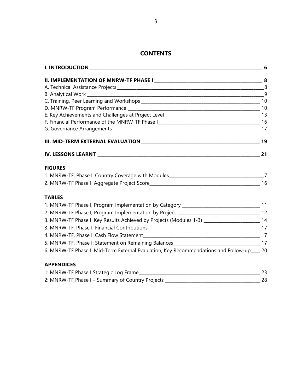# **CONTENTS**

| <b>FIGURES</b>                                                                                 |    |
|------------------------------------------------------------------------------------------------|----|
|                                                                                                |    |
|                                                                                                |    |
| <b>TABLES</b>                                                                                  |    |
|                                                                                                |    |
|                                                                                                |    |
| 3. MNRW-TF Phase I: Key Results Achieved by Projects (Modules 1-3) ________________________ 14 |    |
|                                                                                                |    |
|                                                                                                |    |
|                                                                                                |    |
| 6. MNRW-TF Phase I: Mid-Term External Evaluation, Key Recommendations and Follow-up ___ 20     |    |
| <b>APPENDICES</b>                                                                              |    |
| 1: MNRW-TF Phase I Strategic Log Frame                                                         | 23 |

| <b>I. MINKW-IF PHASE I Strategic LOG Frame</b>   |    |
|--------------------------------------------------|----|
| 2: MNRW-TF Phase I - Summary of Country Projects | 28 |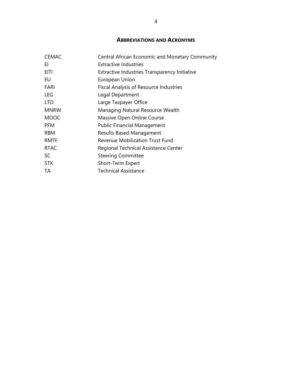# **ABBREVIATIONS AND ACRONYMS**

| <b>CEMAC</b> | Central African Economic and Monetary Community |
|--------------|-------------------------------------------------|
| EI           | Extractive Industries                           |
| EITI         | Extractive Industries Transparency Initiative   |
| EU           | European Union                                  |
| FARI         | <b>Fiscal Analysis of Resource Industries</b>   |
| <b>LEG</b>   | Legal Department                                |
| <b>LTO</b>   | Large Taxpayer Office                           |
| <b>MNRW</b>  | Managing Natural Resource Wealth                |
| <b>MOOC</b>  | Massive Open Online Course                      |
| <b>PFM</b>   | <b>Public Financial Management</b>              |
| <b>RBM</b>   | <b>Results Based Management</b>                 |
| <b>RMTF</b>  | <b>Revenue Mobilization Trust Fund</b>          |
| <b>RTAC</b>  | Regional Technical Assistance Center            |
| SC           | <b>Steering Committee</b>                       |
| <b>STX</b>   | Short-Term Expert                               |
| TA           | Technical Assistance                            |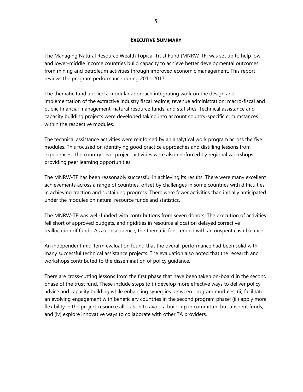#### **EXECUTIVE SUMMARY**

The Managing Natural Resource Wealth Topical Trust Fund (MNRW-TF) was set up to help low and lower-middle income countries build capacity to achieve better developmental outcomes from mining and petroleum activities through improved economic management. This report reviews the program performance during 2011-2017.

The thematic fund applied a modular approach integrating work on the design and implementation of the extractive industry fiscal regime; revenue administration; macro-fiscal and public financial management; natural resource funds; and statistics. Technical assistance and capacity building projects were developed taking into account country-specific circumstances within the respective modules.

The technical assistance activities were reinforced by an analytical work program across the five modules. This focused on identifying good practice approaches and distilling lessons from experiences. The country-level project activities were also reinforced by regional workshops providing peer learning opportunities.

The MNRW-TF has been reasonably successful in achieving its results. There were many excellent achievements across a range of countries, offset by challenges in some countries with difficulties in achieving traction and sustaining progress. There were fewer activities than initially anticipated under the modules on natural resource funds and statistics.

The MNRW-TF was well-funded with contributions from seven donors. The execution of activities fell short of approved budgets, and rigidities in resource allocation delayed corrective reallocation of funds. As a consequence, the thematic fund ended with an unspent cash balance.

An independent mid-term evaluation found that the overall performance had been solid with many successful technical assistance projects. The evaluation also noted that the research and workshops contributed to the dissemination of policy guidance.

There are cross-cutting lessons from the first phase that have been taken on-board in the second phase of the trust fund. These include steps to (i) develop more effective ways to deliver policy advice and capacity building while enhancing synergies between program modules; (ii) facilitate an evolving engagement with beneficiary countries in the second program phase; (iii) apply more flexibility in the project resource allocation to avoid a build-up in committed but unspent funds; and (iv) explore innovative ways to collaborate with other TA providers.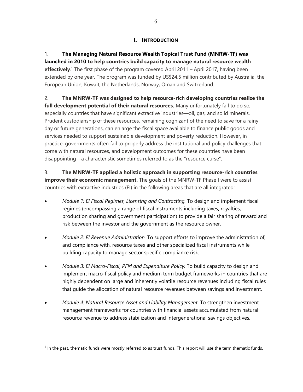# **I. INTRODUCTION**

1. **The Managing Natural Resource Wealth Topical Trust Fund (MNRW-TF) was launched in 2010 to help countries build capacity to manage natural resource wealth effectively**. 1 The first phase of the program covered April 2011 – April 2017, having been extended by one year. The program was funded by US\$24.5 million contributed by Australia, the European Union, Kuwait, the Netherlands, Norway, Oman and Switzerland.

2. **The MNRW-TF was designed to help resource-rich developing countries realize the full development potential of their natural resources.** Many unfortunately fail to do so, especially countries that have significant extractive industries—oil, gas, and solid minerals. Prudent custodianship of these resources, remaining cognizant of the need to save for a rainy day or future generations, can enlarge the fiscal space available to finance public goods and services needed to support sustainable development and poverty reduction. However, in practice, governments often fail to properly address the institutional and policy challenges that come with natural resources, and development outcomes for these countries have been disappointing—a characteristic sometimes referred to as the "resource curse".

3. **The MNRW-TF applied a holistic approach in supporting resource-rich countries improve their economic management.** The goals of the MNRW-TF Phase I were to assist countries with extractive industries (EI) in the following areas that are all integrated:

- *Module 1: EI Fiscal Regimes, Licensing and Contracting.* To design and implement fiscal regimes (encompassing a range of fiscal instruments including taxes, royalties, production sharing and government participation) to provide a fair sharing of reward and risk between the investor and the government as the resource owner.
- *Module 2: EI Revenue Administration.* To support efforts to improve the administration of, and compliance with, resource taxes and other specialized fiscal instruments while building capacity to manage sector specific compliance risk.
- *Module 3: EI Macro-Fiscal, PFM and Expenditure Policy.* To build capacity to design and implement macro-fiscal policy and medium term budget frameworks in countries that are highly dependent on large and inherently volatile resource revenues including fiscal rules that guide the allocation of natural resource revenues between savings and investment.
- *Module 4: Natural Resource Asset and Liability Management.* To strengthen investment management frameworks for countries with financial assets accumulated from natural resource revenue to address stabilization and intergenerational savings objectives.

 $\overline{a}$ 

 $<sup>1</sup>$  In the past, thematic funds were mostly referred to as trust funds. This report will use the term thematic funds.</sup>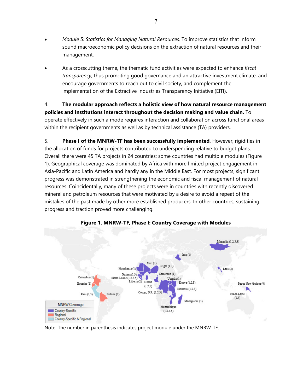- *Module 5: Statistics for Managing Natural Resources.* To improve statistics that inform sound macroeconomic policy decisions on the extraction of natural resources and their management.
- As a crosscutting theme, the thematic fund activities were expected to enhance *fiscal transparency*, thus promoting good governance and an attractive investment climate, and encourage governments to reach out to civil society, and complement the implementation of the Extractive Industries Transparency Initiative (EITI).

4. **The modular approach reflects a holistic view of how natural resource management policies and institutions interact throughout the decision making and value chain.** To operate effectively in such a mode requires interaction and collaboration across functional areas within the recipient governments as well as by technical assistance (TA) providers.

5. **Phase I of the MNRW-TF has been successfully implemented**. However, rigidities in the allocation of funds for projects contributed to underspending relative to budget plans. Overall there were 45 TA projects in 24 countries; some countries had multiple modules (Figure 1). Geographical coverage was dominated by Africa with more limited project engagement in Asia-Pacific and Latin America and hardly any in the Middle East. For most projects, significant progress was demonstrated in strengthening the economic and fiscal management of natural resources. Coincidentally, many of these projects were in countries with recently discovered mineral and petroleum resources that were motivated by a desire to avoid a repeat of the mistakes of the past made by other more established producers. In other countries, sustaining progress and traction proved more challenging.



**Figure 1. MNRW-TF, Phase I: Country Coverage with Modules** 

Note: The number in parenthesis indicates project module under the MNRW-TF.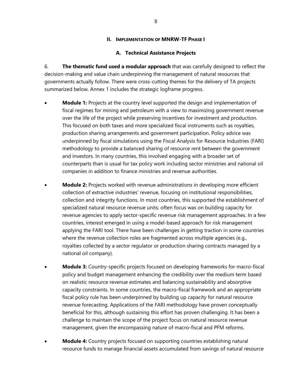#### **II. IMPLEMENTATION OF MNRW-TF PHASE I**

#### **A. Technical Assistance Projects**

6. **The thematic fund used a modular approach** that was carefully designed to reflect the decision-making and value chain underpinning the management of natural resources that governments actually follow. There were cross-cutting themes for the delivery of TA projects summarized below. Annex 1 includes the strategic logframe progress.

- **Module 1:** Projects at the country level supported the design and implementation of fiscal regimes for mining and petroleum with a view to maximizing government revenue over the life of the project while preserving incentives for investment and production. This focused on both taxes and more specialized fiscal instruments such as royalties, production sharing arrangements and government participation. Policy advice was underpinned by fiscal simulations using the Fiscal Analysis for Resource Industries (FARI) methodology to provide a balanced sharing of resource rent between the government and investors. In many countries, this involved engaging with a broader set of counterparts than is usual for tax policy work including sector ministries and national oil companies in addition to finance ministries and revenue authorities.
- **Module 2:** Projects worked with revenue administrations in developing more efficient collection of extractive industries' revenue, focusing on institutional responsibilities, collection and integrity functions. In most countries, this supported the establishment of specialized natural resource revenue units; often focus was on building capacity for revenue agencies to apply sector-specific revenue risk management approaches. In a few countries, interest emerged in using a model-based approach for risk management applying the FARI tool. There have been challenges in getting traction in some countries where the revenue collection roles are fragmented across multiple agencies (e.g., royalties collected by a sector regulator or production sharing contracts managed by a national oil company).
- **Module 3:** Country-specific projects focused on developing frameworks for macro-fiscal policy and budget management enhancing the credibility over the medium term based on realistic resource revenue estimates and balancing sustainability and absorptive capacity constraints. In some countries, the macro-fiscal framework and an appropriate fiscal policy rule has been underpinned by building up capacity for natural resource revenue forecasting. Applications of the FARI methodology have proven conceptually beneficial for this, although sustaining this effort has proven challenging. It has been a challenge to maintain the scope of the project focus on natural resource revenue management, given the encompassing nature of macro-fiscal and PFM reforms.
- **Module 4:** Country projects focused on supporting countries establishing natural resource funds to manage financial assets accumulated from savings of natural resource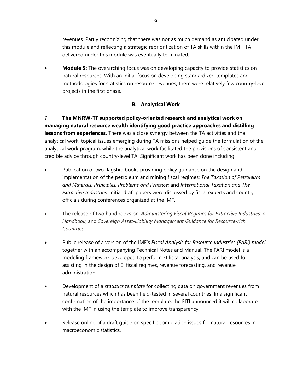revenues. Partly recognizing that there was not as much demand as anticipated under this module and reflecting a strategic reprioritization of TA skills within the IMF, TA delivered under this module was eventually terminated.

 **Module 5:** The overarching focus was on developing capacity to provide statistics on natural resources. With an initial focus on developing standardized templates and methodologies for statistics on resource revenues, there were relatively few country-level projects in the first phase.

# **B. Analytical Work**

7. **The MNRW-TF supported policy-oriented research and analytical work on managing natural resource wealth identifying good practice approaches and distilling lessons from experiences.** There was a close synergy between the TA activities and the analytical work: topical issues emerging during TA missions helped guide the formulation of the analytical work program, while the analytical work facilitated the provisions of consistent and credible advice through country-level TA. Significant work has been done including:

- Publication of two flagship books providing policy guidance on the design and implementation of the petroleum and mining fiscal regimes: *The Taxation of Petroleum and Minerals: Principles, Problems and Practice*; and *International Taxation and The Extractive Industries*. Initial draft papers were discussed by fiscal experts and country officials during conferences organized at the IMF.
- The release of two handbooks on: *Administering Fiscal Regimes for Extractive Industries: A Handbook*; and *Sovereign Asset-Liability Management Guidance for Resource-rich Countries.*
- Public release of a version of the IMF's *Fiscal Analysis for Resource Industries (FARI) model*, together with an accompanying Technical Notes and Manual. The FARI model is a modeling framework developed to perform EI fiscal analysis, and can be used for assisting in the design of EI fiscal regimes, revenue forecasting, and revenue administration.
- Development of a *statistics template* for collecting data on government revenues from natural resources which has been field-tested in several countries. In a significant confirmation of the importance of the template, the EITI announced it will collaborate with the IMF in using the template to improve transparency.
- Release online of a draft guide on specific compilation issues for natural resources in macroeconomic statistics.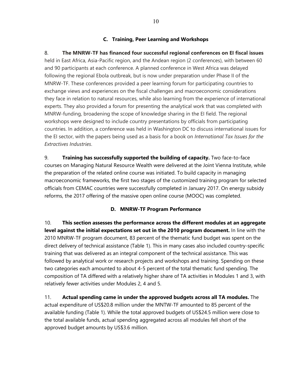### **C. Training, Peer Learning and Workshops**

8. **The MNRW-TF has financed four successful regional conferences on EI fiscal issues** held in East Africa, Asia-Pacific region, and the Andean region (2 conferences), with between 60 and 90 participants at each conference. A planned conference in West Africa was delayed following the regional Ebola outbreak, but is now under preparation under Phase II of the MNRW-TF. These conferences provided a peer learning forum for participating countries to exchange views and experiences on the fiscal challenges and macroeconomic considerations they face in relation to natural resources, while also learning from the experience of international experts. They also provided a forum for presenting the analytical work that was completed with MNRW-funding, broadening the scope of knowledge sharing in the EI field. The regional workshops were designed to include country presentations by officials from participating countries. In addition, a conference was held in Washington DC to discuss international issues for the EI sector, with the papers being used as a basis for a book on *International Tax Issues for the Extractives Industries*.

9. **Training has successfully supported the building of capacity.** Two face-to-face courses on Managing Natural Resource Wealth were delivered at the Joint Vienna Institute, while the preparation of the related online course was initiated. To build capacity in managing macroeconomic frameworks, the first two stages of the customized training program for selected officials from CEMAC countries were successfully completed in January 2017. On energy subsidy reforms, the 2017 offering of the massive open online course (MOOC) was completed.

#### **D. MNRW-TF Program Performance**

10. **This section assesses the performance across the different modules at an aggregate level against the initial expectations set out in the 2010 program document.** In line with the 2010 MNRW-TF program document, 83 percent of the thematic fund budget was spent on the direct delivery of technical assistance (Table 1). This in many cases also included country-specific training that was delivered as an integral component of the technical assistance. This was followed by analytical work or research projects and workshops and training. Spending on these two categories each amounted to about 4-5 percent of the total thematic fund spending. The composition of TA differed with a relatively higher share of TA activities in Modules 1 and 3, with relatively fewer activities under Modules 2, 4 and 5.

11. **Actual spending came in under the approved budgets across all TA modules.** The actual expenditure of US\$20.8 million under the MNTW-TF amounted to 85 percent of the available funding (Table 1). While the total approved budgets of US\$24.5 million were close to the total available funds, actual spending aggregated across all modules fell short of the approved budget amounts by US\$3.6 million.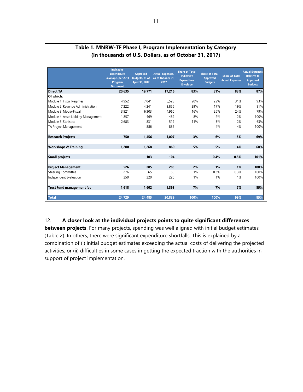|                                      | <b>Indicative</b><br><b>Expenditure</b><br>Envelope, per 2011<br>Program<br><b>Document</b> | <b>Approved</b><br><b>Budgets, as of</b><br>April 30, 2017 | <b>Actual Expenses,</b><br>as of October 31,<br>2017 | <b>Share of Total</b><br><b>Indicative</b><br><b>Expenditure</b><br><b>Envelope</b> | <b>Share of Total</b><br><b>Approved</b><br><b>Budgets</b> | <b>Share of Total</b><br><b>Actual Expenses</b> | <b>Actual Expenses</b><br><b>Relative to</b><br><b>Approved</b><br><b>Budgets</b> |
|--------------------------------------|---------------------------------------------------------------------------------------------|------------------------------------------------------------|------------------------------------------------------|-------------------------------------------------------------------------------------|------------------------------------------------------------|-------------------------------------------------|-----------------------------------------------------------------------------------|
| <b>Direct TA</b>                     | 20.635                                                                                      | 19.771                                                     | 17.216                                               | 83%                                                                                 | 81%                                                        | 83%                                             | 87%                                                                               |
| Of which:                            |                                                                                             |                                                            |                                                      |                                                                                     |                                                            |                                                 |                                                                                   |
| Module 1: Fiscal Regimes             | 4.952                                                                                       | 7.041                                                      | 6.525                                                | 20%                                                                                 | 29%                                                        | 31%                                             | 93%                                                                               |
| Module 2: Revenue Administration     | 7.222                                                                                       | 4,241                                                      | 3.856                                                | 29%                                                                                 | 17%                                                        | 19%                                             | 91%                                                                               |
| Module 3: Macro-Fiscal               | 3.921                                                                                       | 6.303                                                      | 4.960                                                | 16%                                                                                 | 26%                                                        | 24%                                             | 79%                                                                               |
| Module 4: Asset Liability Management | 1.857                                                                                       | 469                                                        | 469                                                  | 8%                                                                                  | 2%                                                         | 2%                                              | 100%                                                                              |
| Module 5: Statistics                 | 2,683                                                                                       | 831                                                        | 519                                                  | 11%                                                                                 | 3%                                                         | 2%                                              | 63%                                                                               |
| TA Project Management                |                                                                                             | 886                                                        | 886                                                  |                                                                                     | 4%                                                         | 4%                                              | 100%                                                                              |
| <b>Research Projects</b>             | 750                                                                                         | 1.456                                                      | 1.007                                                | 3%                                                                                  | 6%                                                         | 5%                                              | 69%                                                                               |
| <b>Workshops &amp; Training</b>      | 1.200                                                                                       | 1.268                                                      | 860                                                  | 5%                                                                                  | 5%                                                         | 4%                                              | 68%                                                                               |
| <b>Small projects</b>                |                                                                                             | 103                                                        | 104                                                  |                                                                                     | 0.4%                                                       | 0.5%                                            | 101%                                                                              |
| <b>Project Management</b>            | 526                                                                                         | 285                                                        | 285                                                  | 2%                                                                                  | 1%                                                         | 1%                                              | 100%                                                                              |
| <b>Steering Committee</b>            | 276                                                                                         | 65                                                         | 65                                                   | 1%                                                                                  | 0.3%                                                       | 0.3%                                            | 100%                                                                              |
| Independent Evaluation               | 250                                                                                         | 220                                                        | 220                                                  | 1%                                                                                  | 1%                                                         | 1%                                              | 100%                                                                              |
| <b>Trust Fund management fee</b>     | 1.618                                                                                       | 1.602                                                      | 1.363                                                | 7%                                                                                  | 7%                                                         | 7%                                              | 85%                                                                               |
| <b>Total</b>                         | 24,729                                                                                      | 24,485                                                     | 20.839                                               | 100%                                                                                | 100%                                                       | 99%                                             | 85%                                                                               |

### **Table 1. MNRW-TF Phase I, Program Implementation by Category (In thousands of U.S. Dollars, as of October 31, 2017)**

# 12. **A closer look at the individual projects points to quite significant differences**

**between projects**. For many projects, spending was well aligned with initial budget estimates (Table 2). In others, there were significant expenditure shortfalls. This is explained by a combination of (i) initial budget estimates exceeding the actual costs of delivering the projected activities; or (ii) difficulties in some cases in getting the expected traction with the authorities in support of project implementation.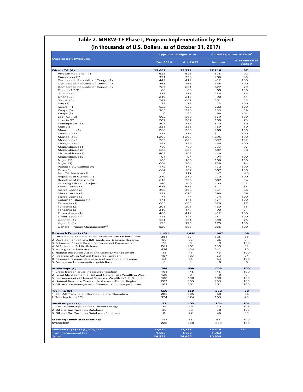|                                                                                                                                                                                                                                                                                                                                                                                                                                                                                                                                                                                                                                                                                                                                                                                                                                                                                                                                                                                   |                 | <b>Approved Budget as of</b> | <b>Actual Expenses to Date<sup>1</sup></b> |                                |  |
|-----------------------------------------------------------------------------------------------------------------------------------------------------------------------------------------------------------------------------------------------------------------------------------------------------------------------------------------------------------------------------------------------------------------------------------------------------------------------------------------------------------------------------------------------------------------------------------------------------------------------------------------------------------------------------------------------------------------------------------------------------------------------------------------------------------------------------------------------------------------------------------------------------------------------------------------------------------------------------------|-----------------|------------------------------|--------------------------------------------|--------------------------------|--|
| <b>Description (Module)</b>                                                                                                                                                                                                                                                                                                                                                                                                                                                                                                                                                                                                                                                                                                                                                                                                                                                                                                                                                       | <b>Dec 2016</b> | <b>Apr 2017</b>              | <b>Amount</b>                              | % of Endorsed<br><b>Budget</b> |  |
| Direct TA (A)                                                                                                                                                                                                                                                                                                                                                                                                                                                                                                                                                                                                                                                                                                                                                                                                                                                                                                                                                                     | 19,682          | 19,771                       | 17,216                                     | 87                             |  |
| Andean Regional (1)                                                                                                                                                                                                                                                                                                                                                                                                                                                                                                                                                                                                                                                                                                                                                                                                                                                                                                                                                               | 623             | 623                          | 575                                        | 92                             |  |
| Cameroon (1)                                                                                                                                                                                                                                                                                                                                                                                                                                                                                                                                                                                                                                                                                                                                                                                                                                                                                                                                                                      | 371             | 338                          | 286                                        | 85                             |  |
| Democratic Republic of Congo (1)                                                                                                                                                                                                                                                                                                                                                                                                                                                                                                                                                                                                                                                                                                                                                                                                                                                                                                                                                  | 442             | 412                          | 412                                        | 100                            |  |
| Democratic Republic of Congo (2)                                                                                                                                                                                                                                                                                                                                                                                                                                                                                                                                                                                                                                                                                                                                                                                                                                                                                                                                                  | 468             | 468                          | 468                                        | 100                            |  |
| Democratic Republic of Congo (3)                                                                                                                                                                                                                                                                                                                                                                                                                                                                                                                                                                                                                                                                                                                                                                                                                                                                                                                                                  | 787             | 861                          | 677                                        | 79                             |  |
| Ghana (1,2,3)                                                                                                                                                                                                                                                                                                                                                                                                                                                                                                                                                                                                                                                                                                                                                                                                                                                                                                                                                                     | 88              | 88                           | 88                                         | 100                            |  |
| Ghana (1)                                                                                                                                                                                                                                                                                                                                                                                                                                                                                                                                                                                                                                                                                                                                                                                                                                                                                                                                                                         | 275             | 275                          | 236                                        | 86                             |  |
| Ghana (2)                                                                                                                                                                                                                                                                                                                                                                                                                                                                                                                                                                                                                                                                                                                                                                                                                                                                                                                                                                         | 219             | 219                          | 90                                         | 41                             |  |
| Global (5)                                                                                                                                                                                                                                                                                                                                                                                                                                                                                                                                                                                                                                                                                                                                                                                                                                                                                                                                                                        | 749             | 662                          | 351                                        | 53                             |  |
|                                                                                                                                                                                                                                                                                                                                                                                                                                                                                                                                                                                                                                                                                                                                                                                                                                                                                                                                                                                   | 73              | 73                           | 73                                         | 100                            |  |
| Iraq $(1)$                                                                                                                                                                                                                                                                                                                                                                                                                                                                                                                                                                                                                                                                                                                                                                                                                                                                                                                                                                        |                 |                              |                                            |                                |  |
| Kenya (1)                                                                                                                                                                                                                                                                                                                                                                                                                                                                                                                                                                                                                                                                                                                                                                                                                                                                                                                                                                         | 622             | 622                          | 622                                        | 100                            |  |
| Kenya (3)                                                                                                                                                                                                                                                                                                                                                                                                                                                                                                                                                                                                                                                                                                                                                                                                                                                                                                                                                                         | 385             | 226                          | 133                                        | 59                             |  |
| Kenya (2)                                                                                                                                                                                                                                                                                                                                                                                                                                                                                                                                                                                                                                                                                                                                                                                                                                                                                                                                                                         | O               | 85                           | 88                                         | 104                            |  |
| Lao PDR (2)                                                                                                                                                                                                                                                                                                                                                                                                                                                                                                                                                                                                                                                                                                                                                                                                                                                                                                                                                                       | 602             | 569                          | 569                                        | 100                            |  |
| Liberia (2)                                                                                                                                                                                                                                                                                                                                                                                                                                                                                                                                                                                                                                                                                                                                                                                                                                                                                                                                                                       | 207             | 207                          | 150                                        | 73                             |  |
| Madagascar (3)                                                                                                                                                                                                                                                                                                                                                                                                                                                                                                                                                                                                                                                                                                                                                                                                                                                                                                                                                                    | 807             | 757                          | 520                                        | 69                             |  |
| Mali (1)                                                                                                                                                                                                                                                                                                                                                                                                                                                                                                                                                                                                                                                                                                                                                                                                                                                                                                                                                                          | 338             | 338                          | 169                                        | 50                             |  |
| Mauritania (1)                                                                                                                                                                                                                                                                                                                                                                                                                                                                                                                                                                                                                                                                                                                                                                                                                                                                                                                                                                    | 268             | 268                          | 268                                        | 100                            |  |
| Mongolia (1)                                                                                                                                                                                                                                                                                                                                                                                                                                                                                                                                                                                                                                                                                                                                                                                                                                                                                                                                                                      | 311             | 311                          | 311                                        | 100                            |  |
| Mongolia (2)                                                                                                                                                                                                                                                                                                                                                                                                                                                                                                                                                                                                                                                                                                                                                                                                                                                                                                                                                                      | 1,295           | 1,295                        | 1,295                                      | 100                            |  |
| Mongolia (3)                                                                                                                                                                                                                                                                                                                                                                                                                                                                                                                                                                                                                                                                                                                                                                                                                                                                                                                                                                      | 702             | 883                          | 897                                        | 102                            |  |
| Mongolia (4)                                                                                                                                                                                                                                                                                                                                                                                                                                                                                                                                                                                                                                                                                                                                                                                                                                                                                                                                                                      | 181             | 156                          | 156                                        | 100                            |  |
| Mozambique (1)                                                                                                                                                                                                                                                                                                                                                                                                                                                                                                                                                                                                                                                                                                                                                                                                                                                                                                                                                                    | 760             | 760                          | 737                                        | 97                             |  |
| Mozambique (2)                                                                                                                                                                                                                                                                                                                                                                                                                                                                                                                                                                                                                                                                                                                                                                                                                                                                                                                                                                    | 622             | 622                          | 607                                        | 98                             |  |
| Mozambique (3)                                                                                                                                                                                                                                                                                                                                                                                                                                                                                                                                                                                                                                                                                                                                                                                                                                                                                                                                                                    | 403             | 363                          | 148                                        | 41                             |  |
| Mozambique (5)                                                                                                                                                                                                                                                                                                                                                                                                                                                                                                                                                                                                                                                                                                                                                                                                                                                                                                                                                                    | 94              | 94                           | 94                                         | 100                            |  |
| Niger (1)                                                                                                                                                                                                                                                                                                                                                                                                                                                                                                                                                                                                                                                                                                                                                                                                                                                                                                                                                                         | 106             | 106                          | 106                                        | 100                            |  |
| Niger (3)                                                                                                                                                                                                                                                                                                                                                                                                                                                                                                                                                                                                                                                                                                                                                                                                                                                                                                                                                                         | 664             | 784                          | 739                                        | 94                             |  |
|                                                                                                                                                                                                                                                                                                                                                                                                                                                                                                                                                                                                                                                                                                                                                                                                                                                                                                                                                                                   | 172             | 172                          | 172                                        | 100                            |  |
| Papua New Guinea (4)                                                                                                                                                                                                                                                                                                                                                                                                                                                                                                                                                                                                                                                                                                                                                                                                                                                                                                                                                              |                 |                              |                                            |                                |  |
| Peru (3)                                                                                                                                                                                                                                                                                                                                                                                                                                                                                                                                                                                                                                                                                                                                                                                                                                                                                                                                                                          | 664             | 587                          | 587                                        | 100                            |  |
| Peru TA Seminar (3)                                                                                                                                                                                                                                                                                                                                                                                                                                                                                                                                                                                                                                                                                                                                                                                                                                                                                                                                                               | O               | 117                          | 47                                         | 40                             |  |
| Republic of Guinea (1)                                                                                                                                                                                                                                                                                                                                                                                                                                                                                                                                                                                                                                                                                                                                                                                                                                                                                                                                                            | 270             | 270                          | 270                                        | 100                            |  |
| Republic of Guinea (3)                                                                                                                                                                                                                                                                                                                                                                                                                                                                                                                                                                                                                                                                                                                                                                                                                                                                                                                                                            | 612             | 728                          | 687                                        | 94                             |  |
| <b>Scoping Mission Project</b>                                                                                                                                                                                                                                                                                                                                                                                                                                                                                                                                                                                                                                                                                                                                                                                                                                                                                                                                                    | 240             | 240                          | 100                                        | 42                             |  |
| Sierra Leone (1)                                                                                                                                                                                                                                                                                                                                                                                                                                                                                                                                                                                                                                                                                                                                                                                                                                                                                                                                                                  | 616             | 616                          | 517                                        | 84                             |  |
| Sierra Leone (2)                                                                                                                                                                                                                                                                                                                                                                                                                                                                                                                                                                                                                                                                                                                                                                                                                                                                                                                                                                  | 398             | 398                          | 341                                        | 86                             |  |
| Sierra Leone (3)                                                                                                                                                                                                                                                                                                                                                                                                                                                                                                                                                                                                                                                                                                                                                                                                                                                                                                                                                                  | 591             | 675                          | 598                                        | 89                             |  |
| Sierra Leone (5)                                                                                                                                                                                                                                                                                                                                                                                                                                                                                                                                                                                                                                                                                                                                                                                                                                                                                                                                                                  | 74              | 74                           | 74                                         | 100                            |  |
| Solomon Islands (1)                                                                                                                                                                                                                                                                                                                                                                                                                                                                                                                                                                                                                                                                                                                                                                                                                                                                                                                                                               | 171             | 171                          | 171                                        | 100                            |  |
| Tanzania (1)                                                                                                                                                                                                                                                                                                                                                                                                                                                                                                                                                                                                                                                                                                                                                                                                                                                                                                                                                                      | 685             | 685                          | 528                                        | 77                             |  |
| Tanzania (2)                                                                                                                                                                                                                                                                                                                                                                                                                                                                                                                                                                                                                                                                                                                                                                                                                                                                                                                                                                      | 291             | 291                          | 160                                        | 55                             |  |
| Tanzania (3)                                                                                                                                                                                                                                                                                                                                                                                                                                                                                                                                                                                                                                                                                                                                                                                                                                                                                                                                                                      | 310             | 147                          | 90                                         | 61                             |  |
| Timor-Leste (1)                                                                                                                                                                                                                                                                                                                                                                                                                                                                                                                                                                                                                                                                                                                                                                                                                                                                                                                                                                   | 468             | 412                          | 412                                        | 100                            |  |
| Timor-Leste (4)                                                                                                                                                                                                                                                                                                                                                                                                                                                                                                                                                                                                                                                                                                                                                                                                                                                                                                                                                                   | 141             | 141                          | 141                                        | 100                            |  |
| Uganda (1)                                                                                                                                                                                                                                                                                                                                                                                                                                                                                                                                                                                                                                                                                                                                                                                                                                                                                                                                                                        | 521             | 521                          | 390                                        | 75                             |  |
|                                                                                                                                                                                                                                                                                                                                                                                                                                                                                                                                                                                                                                                                                                                                                                                                                                                                                                                                                                                   |                 |                              |                                            |                                |  |
| Uganda (3)                                                                                                                                                                                                                                                                                                                                                                                                                                                                                                                                                                                                                                                                                                                                                                                                                                                                                                                                                                        | 175<br>820      | 175<br>886                   | 175<br>886                                 | 100<br>100                     |  |
| General Project Management <sup>23</sup>                                                                                                                                                                                                                                                                                                                                                                                                                                                                                                                                                                                                                                                                                                                                                                                                                                                                                                                                          |                 |                              |                                            |                                |  |
| <b>Research Projects (B)</b>                                                                                                                                                                                                                                                                                                                                                                                                                                                                                                                                                                                                                                                                                                                                                                                                                                                                                                                                                      | 1,431           | 1,456                        | 1,007                                      | 69                             |  |
| 1. Developing a Compilation Guide on Natural Resources                                                                                                                                                                                                                                                                                                                                                                                                                                                                                                                                                                                                                                                                                                                                                                                                                                                                                                                            | 284             | 371                          | 325                                        | 88                             |  |
| 2. Development of new IMF Guide on Resource Revenue                                                                                                                                                                                                                                                                                                                                                                                                                                                                                                                                                                                                                                                                                                                                                                                                                                                                                                                               | 86              | 86                           | 26                                         | 31                             |  |
| 3. Enhanced Results Based Management Framework                                                                                                                                                                                                                                                                                                                                                                                                                                                                                                                                                                                                                                                                                                                                                                                                                                                                                                                                    | 72              | 9                            | 9                                          | 100                            |  |
|                                                                                                                                                                                                                                                                                                                                                                                                                                                                                                                                                                                                                                                                                                                                                                                                                                                                                                                                                                                   |                 |                              |                                            |                                |  |
|                                                                                                                                                                                                                                                                                                                                                                                                                                                                                                                                                                                                                                                                                                                                                                                                                                                                                                                                                                                   | 261             | 261                          | 135                                        | 52                             |  |
|                                                                                                                                                                                                                                                                                                                                                                                                                                                                                                                                                                                                                                                                                                                                                                                                                                                                                                                                                                                   | 434             | 434                          | 341                                        | 78                             |  |
|                                                                                                                                                                                                                                                                                                                                                                                                                                                                                                                                                                                                                                                                                                                                                                                                                                                                                                                                                                                   | 43              | 43                           | 43                                         | 100                            |  |
|                                                                                                                                                                                                                                                                                                                                                                                                                                                                                                                                                                                                                                                                                                                                                                                                                                                                                                                                                                                   | 187             | 187                          | 63                                         | 34                             |  |
|                                                                                                                                                                                                                                                                                                                                                                                                                                                                                                                                                                                                                                                                                                                                                                                                                                                                                                                                                                                   | 64              | 64                           | 64                                         | 100                            |  |
|                                                                                                                                                                                                                                                                                                                                                                                                                                                                                                                                                                                                                                                                                                                                                                                                                                                                                                                                                                                   | o               | o                            | O                                          | o                              |  |
|                                                                                                                                                                                                                                                                                                                                                                                                                                                                                                                                                                                                                                                                                                                                                                                                                                                                                                                                                                                   | 744             | 608                          | 608                                        | 100                            |  |
|                                                                                                                                                                                                                                                                                                                                                                                                                                                                                                                                                                                                                                                                                                                                                                                                                                                                                                                                                                                   | 161             | 145                          | 145                                        | 100                            |  |
|                                                                                                                                                                                                                                                                                                                                                                                                                                                                                                                                                                                                                                                                                                                                                                                                                                                                                                                                                                                   | 120             | $\circ$                      | $\circ$                                    | $\circ$                        |  |
|                                                                                                                                                                                                                                                                                                                                                                                                                                                                                                                                                                                                                                                                                                                                                                                                                                                                                                                                                                                   | 100             | 100                          | 100                                        | 100                            |  |
|                                                                                                                                                                                                                                                                                                                                                                                                                                                                                                                                                                                                                                                                                                                                                                                                                                                                                                                                                                                   | 203             | 203                          | 203                                        | 100                            |  |
|                                                                                                                                                                                                                                                                                                                                                                                                                                                                                                                                                                                                                                                                                                                                                                                                                                                                                                                                                                                   | 161             | 161                          | 161                                        | 100                            |  |
|                                                                                                                                                                                                                                                                                                                                                                                                                                                                                                                                                                                                                                                                                                                                                                                                                                                                                                                                                                                   | 659             | 659                          | 252                                        | 38                             |  |
|                                                                                                                                                                                                                                                                                                                                                                                                                                                                                                                                                                                                                                                                                                                                                                                                                                                                                                                                                                                   | 285             | 285                          | 68                                         | 24                             |  |
|                                                                                                                                                                                                                                                                                                                                                                                                                                                                                                                                                                                                                                                                                                                                                                                                                                                                                                                                                                                   | 374             | 374                          | 183                                        | 49                             |  |
|                                                                                                                                                                                                                                                                                                                                                                                                                                                                                                                                                                                                                                                                                                                                                                                                                                                                                                                                                                                   | 57              | 103                          | 104                                        | 101                            |  |
|                                                                                                                                                                                                                                                                                                                                                                                                                                                                                                                                                                                                                                                                                                                                                                                                                                                                                                                                                                                   | 19              | 19                           | 20                                         | 108                            |  |
|                                                                                                                                                                                                                                                                                                                                                                                                                                                                                                                                                                                                                                                                                                                                                                                                                                                                                                                                                                                   | 38              | 38                           | 38                                         | 100                            |  |
|                                                                                                                                                                                                                                                                                                                                                                                                                                                                                                                                                                                                                                                                                                                                                                                                                                                                                                                                                                                   | o               | 47                           | 46                                         | 99                             |  |
|                                                                                                                                                                                                                                                                                                                                                                                                                                                                                                                                                                                                                                                                                                                                                                                                                                                                                                                                                                                   | 131             | 65                           | 65                                         | 100                            |  |
|                                                                                                                                                                                                                                                                                                                                                                                                                                                                                                                                                                                                                                                                                                                                                                                                                                                                                                                                                                                   | 220             | 220                          | 220                                        | 100                            |  |
|                                                                                                                                                                                                                                                                                                                                                                                                                                                                                                                                                                                                                                                                                                                                                                                                                                                                                                                                                                                   |                 |                              |                                            | 85.1                           |  |
| 4. FARI Model Public-Release<br>5. Mining tax administration<br>6. Natural Resources Asset and Liability Management<br>7. Progressivity in Natural Resource Taxation<br>8. Resource revenue database and government revenue<br>9. Savings and consumption guidelines<br><b>Workshops (C)</b><br>1. Cross-border issues in resource taxation<br>2. Fiscal Management of Oil and Natural Gas Wealth in West<br>3. Management of Natural Resource Wealth in Sub-Saharan<br>4. Natural Resource Taxation in the Asia-Pacific Region<br>5. Oil revenue management framework for new producers<br><b>Training (D)</b><br>1. CEMAC Training on Developing and Operating<br>2. Training for MRCs<br><b>Small Projects (E)</b><br>1. Annual Subscription for Evaluate Energy<br>2. Oil and Gas Taxation Database<br>3. Oil and Gas Taxation Database (Renewal)<br><b>Steering Committee Meetings</b><br><b>Evaluation</b><br>Subtotal $(A)+(B)+(C)+(D)+(E)$<br><b>Trust Management Fee</b> | 22,924<br>1,605 | 22,883<br>1,602              | 19,476<br>1,363                            |                                |  |

# **Table 2. MNRW-TF Phase I, Program Implementation by Project (In thousands of U.S. Dollars, as of October 31, 2017)**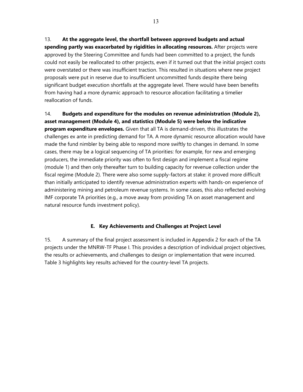13. **At the aggregate level, the shortfall between approved budgets and actual spending partly was exacerbated by rigidities in allocating resources.** After projects were approved by the Steering Committee and funds had been committed to a project, the funds could not easily be reallocated to other projects, even if it turned out that the initial project costs were overstated or there was insufficient traction. This resulted in situations where new project proposals were put in reserve due to insufficient uncommitted funds despite there being significant budget execution shortfalls at the aggregate level. There would have been benefits from having had a more dynamic approach to resource allocation facilitating a timelier reallocation of funds.

14. **Budgets and expenditure for the modules on revenue administration (Module 2), asset management (Module 4), and statistics (Module 5) were below the indicative program expenditure envelopes.** Given that all TA is demand-driven, this illustrates the challenges ex ante in predicting demand for TA. A more dynamic resource allocation would have made the fund nimbler by being able to respond more swiftly to changes in demand. In some cases, there may be a logical sequencing of TA priorities: for example, for new and emerging producers, the immediate priority was often to first design and implement a fiscal regime (module 1) and then only thereafter turn to building capacity for revenue collection under the fiscal regime (Module 2). There were also some supply-factors at stake: it proved more difficult than initially anticipated to identify revenue administration experts with hands-on experience of administering mining and petroleum revenue systems. In some cases, this also reflected evolving IMF corporate TA priorities (e.g., a move away from providing TA on asset management and natural resource funds investment policy).

# **E. Key Achievements and Challenges at Project Level**

15. A summary of the final project assessment is included in Appendix 2 for each of the TA projects under the MNRW-TF Phase I. This provides a description of individual project objectives, the results or achievements, and challenges to design or implementation that were incurred. Table 3 highlights key results achieved for the country-level TA projects.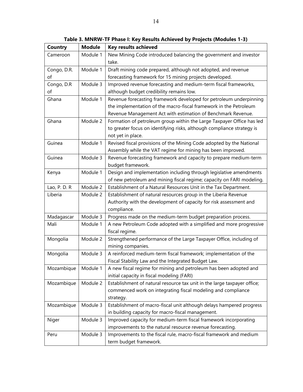| <b>Country</b> | <b>Module</b> | <b>Key results achieved</b>                                              |
|----------------|---------------|--------------------------------------------------------------------------|
| Cameroon       | Module 1      | New Mining Code introduced balancing the government and investor         |
|                |               | take.                                                                    |
| Congo, D.R.    | Module 1      | Draft mining code prepared, although not adopted, and revenue            |
| of             |               | forecasting framework for 15 mining projects developed.                  |
| Congo, D.R     | Module 3      | Improved revenue forecasting and medium-term fiscal frameworks,          |
| of             |               | although budget credibility remains low.                                 |
| Ghana          | Module 1      | Revenue forecasting framework developed for petroleum underpinning       |
|                |               | the implementation of the macro-fiscal framework in the Petroleum        |
|                |               | Revenue Management Act with estimation of Benchmark Revenue.             |
| Ghana          | Module 2      | Formation of petroleum group within the Large Taxpayer Office has led    |
|                |               | to greater focus on identifying risks, although compliance strategy is   |
|                |               | not yet in place.                                                        |
| Guinea         | Module 1      | Revised fiscal provisions of the Mining Code adopted by the National     |
|                |               | Assembly while the VAT regime for mining has been improved.              |
| Guinea         | Module 3      | Revenue forecasting framework and capacity to prepare medium-term        |
|                |               | budget framework.                                                        |
| Kenya          | Module 1      | Design and implementation including through legislative amendments       |
|                |               | of new petroleum and mining fiscal regime; capacity on FARI modeling.    |
| Lao, P. D. R   | Module 2      | Establishment of a Natural Resources Unit in the Tax Department.         |
| Liberia        | Module 2      | Establishment of natural resources group in the Liberia Revenue          |
|                |               | Authority with the development of capacity for risk assessment and       |
|                |               | compliance.                                                              |
| Madagascar     | Module 3      | Progress made on the medium-term budget preparation process.             |
| Mali           | Module 1      | A new Petroleum Code adopted with a simplified and more progressive      |
|                |               | fiscal regime.                                                           |
| Mongolia       | Module 2      | Strengthened performance of the Large Taxpayer Office, including of      |
|                |               | mining companies.                                                        |
| Mongolia       | Module 3      | A reinforced medium-term fiscal framework; implementation of the         |
|                |               | Fiscal Stability Law and the Integrated Budget Law.                      |
| Mozambique     | Module 1      | A new fiscal regime for mining and petroleum has been adopted and        |
|                |               | initial capacity in fiscal modeling (FARI)                               |
| Mozambique     | Module 2      | Establishment of natural resource tax unit in the large taxpayer office; |
|                |               | commenced work on integrating fiscal modeling and compliance             |
|                |               | strategy.                                                                |
| Mozambique     | Module 3      | Establishment of macro-fiscal unit although delays hampered progress     |
|                |               | in building capacity for macro-fiscal management.                        |
| Niger          | Module 3      | Improved capacity for medium-term fiscal framework incorporating         |
|                |               | improvements to the natural resource revenue forecasting.                |
| Peru           | Module 3      | Improvements to the fiscal rule, macro-fiscal framework and medium       |
|                |               | term budget framework.                                                   |

**Table 3. MNRW-TF Phase I: Key Results Achieved by Projects (Modules 1-3)**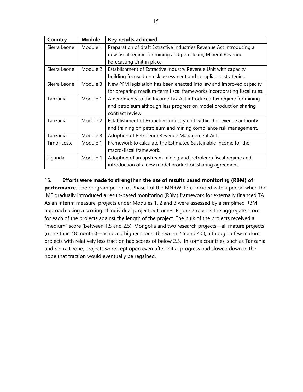| Country            | <b>Module</b> | <b>Key results achieved</b>                                             |
|--------------------|---------------|-------------------------------------------------------------------------|
| Sierra Leone       | Module 1      | Preparation of draft Extractive Industries Revenue Act introducing a    |
|                    |               | new fiscal regime for mining and petroleum; Mineral Revenue             |
|                    |               | Forecasting Unit in place.                                              |
| Sierra Leone       | Module 2      | Establishment of Extractive Industry Revenue Unit with capacity         |
|                    |               | building focused on risk assessment and compliance strategies.          |
| Sierra Leone       | Module 3      | New PFM legislation has been enacted into law and improved capacity     |
|                    |               | for preparing medium-term fiscal frameworks incorporating fiscal rules. |
| Tanzania           | Module 1      | Amendments to the Income Tax Act introduced tax regime for mining       |
|                    |               | and petroleum although less progress on model production sharing        |
|                    |               | contract review.                                                        |
| Tanzania           | Module 2      | Establishment of Extractive Industry unit within the revenue authority  |
|                    |               | and training on petroleum and mining compliance risk management.        |
| Tanzania           | Module 3      | Adoption of Petroleum Revenue Management Act.                           |
| <b>Timor Leste</b> | Module 1      | Framework to calculate the Estimated Sustainable Income for the         |
|                    |               | macro-fiscal framework.                                                 |
| Uganda             | Module 1      | Adoption of an upstream mining and petroleum fiscal regime and          |
|                    |               | introduction of a new model production sharing agreement.               |

### 16. **Efforts were made to strengthen the use of results based monitoring (RBM) of**

**performance.** The program period of Phase I of the MNRW-TF coincided with a period when the IMF gradually introduced a result-based monitoring (RBM) framework for externally financed TA. As an interim measure, projects under Modules 1, 2 and 3 were assessed by a simplified RBM approach using a scoring of individual project outcomes. Figure 2 reports the aggregate score for each of the projects against the length of the project. The bulk of the projects received a "medium" score (between 1.5 and 2.5). Mongolia and two research projects—all mature projects (more than 48 months)—achieved higher scores (between 2.5 and 4.0), although a few mature projects with relatively less traction had scores of below 2.5. In some countries, such as Tanzania and Sierra Leone, projects were kept open even after initial progress had slowed down in the hope that traction would eventually be regained.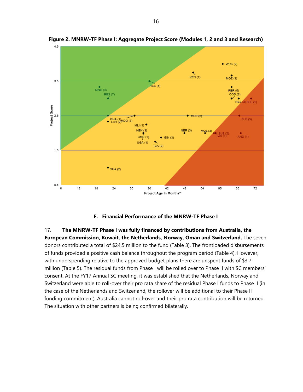

**Figure 2. MNRW-TF Phase I: Aggregate Project Score (Modules 1, 2 and 3 and Research)** 

#### **F. Fi**n**ancial Performance of the MNRW-TF Phase I**

17. **The MNRW-TF Phase I was fully financed by contributions from Australia, the European Commission, Kuwait, the Netherlands, Norway, Oman and Switzerland.** The seven donors contributed a total of \$24.5 million to the fund (Table 3). The frontloaded disbursements of funds provided a positive cash balance throughout the program period (Table 4). However, with underspending relative to the approved budget plans there are unspent funds of \$3.7 million (Table 5). The residual funds from Phase I will be rolled over to Phase II with SC members' consent. At the FY17 Annual SC meeting, it was established that the Netherlands, Norway and Switzerland were able to roll-over their pro rata share of the residual Phase I funds to Phase II (in the case of the Netherlands and Switzerland, the rollover will be additional to their Phase II funding commitment). Australia cannot roll-over and their pro rata contribution will be returned. The situation with other partners is being confirmed bilaterally.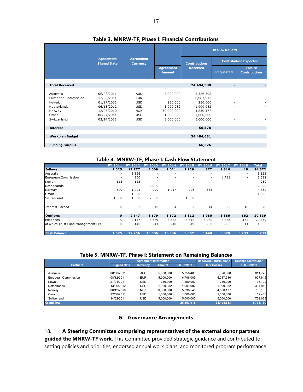|                                                                     |                                                                    |                                                                    |                                                              |                                                             | In U.S. Dollars  |                                       |  |
|---------------------------------------------------------------------|--------------------------------------------------------------------|--------------------------------------------------------------------|--------------------------------------------------------------|-------------------------------------------------------------|------------------|---------------------------------------|--|
|                                                                     | <b>Agreement</b><br><b>Signed Date</b>                             | <b>Agreement</b><br><b>Currency</b>                                |                                                              | <b>Contributions</b>                                        |                  | <b>Contribution Expected</b>          |  |
|                                                                     |                                                                    |                                                                    | <b>Agreement</b><br><b>Amount</b>                            | <b>Received</b>                                             | <b>Requested</b> | <b>Future</b><br><b>Contributions</b> |  |
| <b>Total Received</b>                                               |                                                                    |                                                                    |                                                              | 24,494,380                                                  |                  |                                       |  |
| Australia<br>European Commission<br>Kuwait<br>Netherlands<br>Norway | 06/08/2011<br>12/08/2011<br>01/27/2011<br>06/13/2012<br>12/06/2010 | <b>AUD</b><br><b>EUR</b><br><b>USD</b><br><b>USD</b><br><b>NOK</b> | 5,000,000<br>5,000,000<br>250,000<br>1,999,982<br>30,000,000 | 5,326,308<br>6,087,913<br>250,000<br>1,999,982<br>4,830,177 |                  |                                       |  |
| Oman<br>Switzerland                                                 | 06/27/2011<br>02/14/2011                                           | <b>USD</b><br><b>USD</b>                                           | 1,000,000<br>5,000,000                                       | 1,000,000<br>5,000,000                                      |                  |                                       |  |
| <b>Interest</b>                                                     |                                                                    |                                                                    |                                                              | 56,578                                                      |                  |                                       |  |
| <b>Workplan Budget</b>                                              |                                                                    |                                                                    |                                                              | 24,484,631                                                  |                  |                                       |  |
| <b>Funding Surplus</b>                                              |                                                                    |                                                                    |                                                              | 66,326                                                      |                  |                                       |  |

#### **Table 3. MNRW-TF, Phase I: Financial Contributions**

#### **Table 4. MNRW-TF, Phase I: Cash Flow Statement**

|                                    | <b>FY 2011</b> | <b>FY 2012</b> | FY 2013 | <b>FY 2014</b> | <b>FY 2015</b>           | FY 2016                  | <b>FY 2017</b>           | <b>FY 2018</b>           | <b>Total</b> |
|------------------------------------|----------------|----------------|---------|----------------|--------------------------|--------------------------|--------------------------|--------------------------|--------------|
| <b>Inflows</b>                     | 1,625          | 12,777         | 5,009   | 1,021          | 1,929                    | 377                      | 1,816                    | 18                       | 24,572       |
| Australia                          | ۰              | 5,326          | ۰       | ۰              | $\overline{\phantom{a}}$ | $\overline{\phantom{a}}$ | ٠                        | ٠                        | 5,326        |
| European Commission                |                | 4,300          | ٠       | ۰              | ٠                        | ٠                        | 1,788                    | ۰                        | 6,088        |
| Kuwait                             | 125            | 125            |         | ۰              |                          | ٠                        | $\overline{\phantom{a}}$ |                          | 250          |
| Netherlands                        |                |                | 2,000   |                |                          |                          |                          | ٠                        | 2,000        |
| Norway                             | 500            | 1,025          | 999     | 1,017          | 926                      | 363                      |                          |                          | 4,830        |
| Oman                               |                | 1,000          |         |                |                          | $\overline{\phantom{a}}$ |                          | ٠                        | 1,000        |
| Switzerland                        | 1,000          | 1,000          | 2,000   | ۰              | 1,000                    |                          |                          | $\overline{\phantom{a}}$ | 5,000        |
| Interest Earned                    | 0              | $\overline{2}$ | 10      | 4              | 3                        | 14                       | 27                       | 18                       | 78           |
| <b>Outflows</b>                    | $\mathbf 0$    | 2,147          | 3,679   | 3,672          | 3,812                    | 3,980                    | 3,386                    | 162                      | 20,839       |
| Expenses                           | $\Omega$       | 2,147          | 3,679   | 3,672          | 3,812                    | 3,980                    | 3,386                    | 162                      | 20,839       |
| of which Trust Fund Management Fee | 0              | 140            | 241     | 240            | 249                      | 260                      | 222                      | 11                       | 1,363        |
| <b>Cash Balance</b>                | 1,625          | 12,256         | 13,586  | 10,936         | 9,052                    | 5,448                    | 3,878                    | 3,733                    | 3,733        |

#### **Table 5. MNRW-TF, Phase I: Statement on Remaining Balances**

|                     |                    |                 |                              |                               | -                           |                     |
|---------------------|--------------------|-----------------|------------------------------|-------------------------------|-----------------------------|---------------------|
|                     |                    |                 | <b>Agreement Information</b> | <b>Received Contributions</b> | <b>Balance Distribution</b> |                     |
| <b>Partners</b>     | <b>Signed Date</b> | <b>Currency</b> | <b>Amount</b>                | <b>U.S. Dollars</b>           | <b>U.S. Dollars</b>         | <b>U.S. Dollars</b> |
|                     |                    |                 |                              |                               |                             |                     |
| Australia           | 08/06/2011         | <b>AUD</b>      | 5.000.000                    | 5,358,483                     | 5.326.308                   | 811,770             |
| European Commission | 08/12/2011         | <b>EUR</b>      | 5.000.000                    | 6.706.009                     | 6.087.916                   | 927.845             |
| Kuwait              | 27/01/2011         | USD             | 250,000                      | 250.000                       | 250,000                     | 38,102              |
| Netherlands         | 13/06/2012         | USD             | .999.982                     | 1,999,982                     | 1,999,982                   | 304,812             |
| Norway              | 06/12/2010         | <b>NOK</b>      | 30.000.000                   | 5,038,545                     | 4,830,177                   | 736,156             |
| Oman                | 27/06/2011         | USD             | 1.000.000                    | 1.000.000                     | 1.000.000                   | 152,408             |
| Switzerland         | 14/02/2011         | USD             | 5.000.000                    | 5.000.000                     | 5.000.000                   | 762.038             |
| <b>Grand Total</b>  |                    |                 |                              | 25.353.018                    | 24.494.383                  | 3,733,130           |

#### **G. Governance Arrangements**

18. **A Steering Committee comprising representatives of the external donor partners guided the MNRW-TF work.** This Committee provided strategic guidance and contributed to setting policies and priorities, endorsed annual work plans, and monitored program performance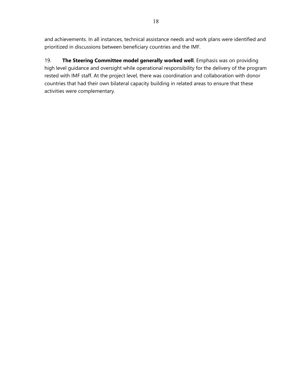and achievements. In all instances, technical assistance needs and work plans were identified and prioritized in discussions between beneficiary countries and the IMF.

19. **The Steering Committee model generally worked well**. Emphasis was on providing high level guidance and oversight while operational responsibility for the delivery of the program rested with IMF staff. At the project level, there was coordination and collaboration with donor countries that had their own bilateral capacity building in related areas to ensure that these activities were complementary.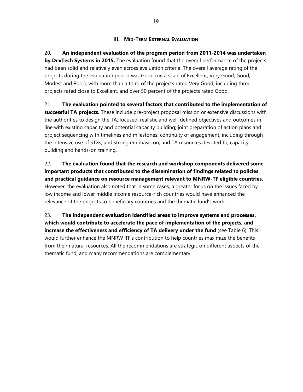#### **III. MID-TERM EXTERNAL EVALUATION**

20. **An independent evaluation of the program period from 2011-2014 was undertaken by DevTech Systems in 2015.** The evaluation found that the overall performance of the projects had been solid and relatively even across evaluation criteria. The overall average rating of the projects during the evaluation period was Good (on a scale of Excellent, Very Good, Good, Modest and Poor), with more than a third of the projects rated Very Good, including three projects rated close to Excellent, and over 50 percent of the projects rated Good.

21. **The evaluation pointed to several factors that contributed to the implementation of successful TA projects.** These include pre-project proposal mission or extensive discussions with the authorities to design the TA; focused, realistic and well-defined objectives and outcomes in line with existing capacity and potential capacity building; joint preparation of action plans and project sequencing with timelines and milestones; continuity of engagement, including through the intensive use of STXs; and strong emphasis on, and TA resources devoted to, capacity building and hands-on training.

22. **The evaluation found that the research and workshop components delivered some important products that contributed to the dissemination of findings related to policies and practical guidance on resource management relevant to MNRW-TF eligible countries.** However, the evaluation also noted that in some cases, a greater focus on the issues faced by low income and lower middle income resource-rich countries would have enhanced the relevance of the projects to beneficiary countries and the thematic fund's work.

23. **The independent evaluation identified areas to improve systems and processes, which would contribute to accelerate the pace of implementation of the projects, and increase the effectiveness and efficiency of TA delivery under the fund** (see Table 6). This would further enhance the MNRW-TF's contribution to help countries maximize the benefits from their natural resources. All the recommendations are strategic on different aspects of the thematic fund, and many recommendations are complementary.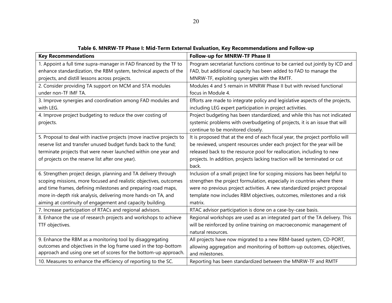| <b>Key Recommendations</b>                                            | Follow-up for MNRW-TF Phase II                                                 |
|-----------------------------------------------------------------------|--------------------------------------------------------------------------------|
| 1. Appoint a full time supra-manager in FAD financed by the TF to     | Program secretariat functions continue to be carried out jointly by ICD and    |
| enhance standardization, the RBM system, technical aspects of the     | FAD, but additional capacity has been added to FAD to manage the               |
| projects, and distill lessons across projects.                        | MNRW-TF, exploiting synergies with the RMTF.                                   |
| 2. Consider providing TA support on MCM and STA modules               | Modules 4 and 5 remain in MNRW Phase II but with revised functional            |
| under non-TF IMF TA.                                                  | focus in Module 4.                                                             |
| 3. Improve synergies and coordination among FAD modules and           | Efforts are made to integrate policy and legislative aspects of the projects,  |
| with LEG.                                                             | including LEG expert participation in project activities.                      |
| 4. Improve project budgeting to reduce the over costing of            | Project budgeting has been standardized, and while this has not indicated      |
| projects.                                                             | systemic problems with overbudgeting of projects, it is an issue that will     |
|                                                                       | continue to be monitored closely.                                              |
| 5. Proposal to deal with inactive projects (move inactive projects to | It is proposed that at the end of each fiscal year, the project portfolio will |
| reserve list and transfer unused budget funds back to the fund;       | be reviewed, unspent resources under each project for the year will be         |
| terminate projects that were never launched within one year and       | released back to the resource pool for reallocation, including to new          |
| of projects on the reserve list after one year).                      | projects. In addition, projects lacking traction will be terminated or cut     |
|                                                                       | back.                                                                          |
| 6. Strengthen project design, planning and TA delivery through        | Inclusion of a small project line for scoping missions has been helpful to     |
| scoping missions, more focused and realistic objectives, outcomes     | strengthen the project formulation, especially in countries where there        |
| and time frames, defining milestones and preparing road maps,         | were no previous project activities. A new standardized project proposal       |
| more in-depth risk analysis, delivering more hands-on TA, and         | template now includes RBM objectives, outcomes, milestones and a risk          |
| aiming at continuity of engagement and capacity building.             | matrix.                                                                        |
| 7. Increase participation of RTACs and regional advisors.             | RTAC advisor participation is done on a case-by-case basis.                    |
| 8. Enhance the use of research projects and workshops to achieve      | Regional workshops are used as an integrated part of the TA delivery. This     |
| TTF objectives.                                                       | will be reinforced by online training on macroeconomic management of           |
|                                                                       | natural resources.                                                             |
| 9. Enhance the RBM as a monitoring tool by disaggregating             | All projects have now migrated to a new RBM-based system, CD-PORT,             |
| outcomes and objectives in the log frame used in the top-bottom       | allowing aggregation and monitoring of bottom-up outcomes, objectives,         |
| approach and using one set of scores for the bottom-up approach.      | and milestones.                                                                |
| 10. Measures to enhance the efficiency of reporting to the SC.        | Reporting has been standardized between the MNRW-TF and RMTF                   |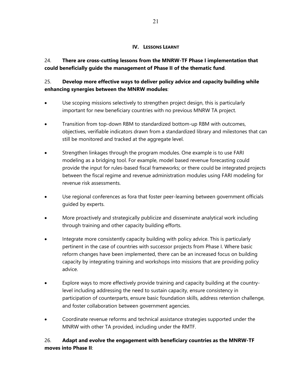### **IV. LESSONS LEARNT**

24. **There are cross-cutting lessons from the MNRW-TF Phase I implementation that could beneficially guide the management of Phase II of the thematic fund**.

# 25. **Develop more effective ways to deliver policy advice and capacity building while enhancing synergies between the MNRW modules**:

- Use scoping missions selectively to strengthen project design, this is particularly important for new beneficiary countries with no previous MNRW TA project.
- Transition from top-down RBM to standardized bottom-up RBM with outcomes, objectives, verifiable indicators drawn from a standardized library and milestones that can still be monitored and tracked at the aggregate level.
- Strengthen linkages through the program modules. One example is to use FARI modeling as a bridging tool. For example, model based revenue forecasting could provide the input for rules-based fiscal frameworks; or there could be integrated projects between the fiscal regime and revenue administration modules using FARI modeling for revenue risk assessments.
- Use regional conferences as fora that foster peer-learning between government officials guided by experts.
- More proactively and strategically publicize and disseminate analytical work including through training and other capacity building efforts.
- Integrate more consistently capacity building with policy advice. This is particularly pertinent in the case of countries with successor projects from Phase I. Where basic reform changes have been implemented, there can be an increased focus on building capacity by integrating training and workshops into missions that are providing policy advice.
- Explore ways to more effectively provide training and capacity building at the countrylevel including addressing the need to sustain capacity, ensure consistency in participation of counterparts, ensure basic foundation skills, address retention challenge, and foster collaboration between government agencies.
- Coordinate revenue reforms and technical assistance strategies supported under the MNRW with other TA provided, including under the RMTF.

# 26. **Adapt and evolve the engagement with beneficiary countries as the MNRW-TF moves into Phase II**: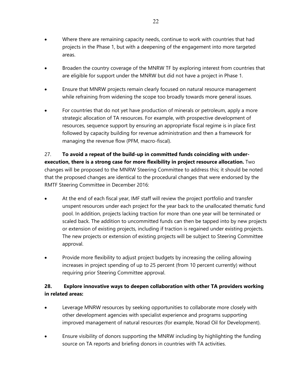- Where there are remaining capacity needs, continue to work with countries that had projects in the Phase 1, but with a deepening of the engagement into more targeted areas.
- Broaden the country coverage of the MNRW TF by exploring interest from countries that are eligible for support under the MNRW but did not have a project in Phase 1.
- Ensure that MNRW projects remain clearly focused on natural resource management while refraining from widening the scope too broadly towards more general issues.
- For countries that do not yet have production of minerals or petroleum, apply a more strategic allocation of TA resources. For example, with prospective development of resources, sequence support by ensuring an appropriate fiscal regime is in place first followed by capacity building for revenue administration and then a framework for managing the revenue flow (PFM, macro-fiscal).

27. **To avoid a repeat of the build-up in committed funds coinciding with underexecution, there is a strong case for more flexibility in project resource allocation.** Two changes will be proposed to the MNRW Steering Committee to address this; it should be noted that the proposed changes are identical to the procedural changes that were endorsed by the RMTF Steering Committee in December 2016:

- At the end of each fiscal year, IMF staff will review the project portfolio and transfer unspent resources under each project for the year back to the unallocated thematic fund pool. In addition, projects lacking traction for more than one year will be terminated or scaled back. The addition to uncommitted funds can then be tapped into by new projects or extension of existing projects, including if traction is regained under existing projects. The new projects or extension of existing projects will be subject to Steering Committee approval.
- Provide more flexibility to adjust project budgets by increasing the ceiling allowing increases in project spending of up to 25 percent (from 10 percent currently) without requiring prior Steering Committee approval.

# **28. Explore innovative ways to deepen collaboration with other TA providers working in related areas:**

- Leverage MNRW resources by seeking opportunities to collaborate more closely with other development agencies with specialist experience and programs supporting improved management of natural resources (for example, Norad Oil for Development).
- Ensure visibility of donors supporting the MNRW including by highlighting the funding source on TA reports and briefing donors in countries with TA activities.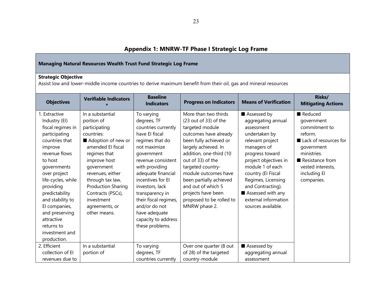# **Appendix 1: MNRW-TF Phase I Strategic Log Frame**

| Managing Natural Resources Wealth Trust Fund Strategic Log Frame                                                                                                                                                                                                                                                                      |                                                                                                                                                                                                                                                                                                  |                                                                                                                                                                                                                                                                                                                                                   |                                                                                                                                                                                                                                                                                                                                                              |                                                                                                                                                                                                                                                                                                         |                                                                                                                                                                               |  |  |  |  |  |
|---------------------------------------------------------------------------------------------------------------------------------------------------------------------------------------------------------------------------------------------------------------------------------------------------------------------------------------|--------------------------------------------------------------------------------------------------------------------------------------------------------------------------------------------------------------------------------------------------------------------------------------------------|---------------------------------------------------------------------------------------------------------------------------------------------------------------------------------------------------------------------------------------------------------------------------------------------------------------------------------------------------|--------------------------------------------------------------------------------------------------------------------------------------------------------------------------------------------------------------------------------------------------------------------------------------------------------------------------------------------------------------|---------------------------------------------------------------------------------------------------------------------------------------------------------------------------------------------------------------------------------------------------------------------------------------------------------|-------------------------------------------------------------------------------------------------------------------------------------------------------------------------------|--|--|--|--|--|
| <b>Strategic Objective</b><br>Assist low and lower-middle income countries to derive maximum benefit from their oil, gas and mineral resources                                                                                                                                                                                        |                                                                                                                                                                                                                                                                                                  |                                                                                                                                                                                                                                                                                                                                                   |                                                                                                                                                                                                                                                                                                                                                              |                                                                                                                                                                                                                                                                                                         |                                                                                                                                                                               |  |  |  |  |  |
| <b>Objectives</b>                                                                                                                                                                                                                                                                                                                     | <b>Verifiable Indicators</b>                                                                                                                                                                                                                                                                     | <b>Baseline</b><br><b>Indicators</b>                                                                                                                                                                                                                                                                                                              | <b>Progress on Indicators</b>                                                                                                                                                                                                                                                                                                                                | <b>Means of Verification</b>                                                                                                                                                                                                                                                                            | Risks/<br><b>Mitigating Actions</b>                                                                                                                                           |  |  |  |  |  |
| 1. Extractive<br>Industry (EI)<br>fiscal regimes in<br>participating<br>countries that<br>improve<br>revenue flows<br>to host<br>governments<br>over project<br>life-cycles, while<br>providing<br>predictability<br>and stability to<br>El companies,<br>and preserving<br>attractive<br>returns to<br>investment and<br>production. | In a substantial<br>portion of<br>participating<br>countries:<br>Adoption of new or<br>amended El fiscal<br>regimes that<br>improve host<br>government<br>revenues, either<br>through tax law,<br><b>Production Sharing</b><br>Contracts (PSCs),<br>investment<br>agreements, or<br>other means. | To varying<br>degrees, TF<br>countries currently<br>have El fiscal<br>regimes that do<br>not maximize<br>government<br>revenue consistent<br>with providing<br>adequate financial<br>incentives for El<br>investors, lack<br>transparency in<br>their fiscal regimes,<br>and/or do not<br>have adequate<br>capacity to address<br>these problems. | More than two thirds<br>(23 out of 33) of the<br>targeted module<br>outcomes have already<br>been fully achieved or<br>largely achieved. In<br>addition, one-third (10<br>out of 33) of the<br>targeted country-<br>module outcomes have<br>been partially achieved<br>and out of which 5<br>projects have been<br>proposed to be rolled to<br>MNRW phase 2. | Assessed by<br>aggregating annual<br>assessment<br>undertaken by<br>relevant project<br>managers of<br>progress toward<br>project objectives in<br>module 1 of each<br>country (El Fiscal<br>Regimes, Licensing<br>and Contracting).<br>Assessed with any<br>external information<br>sources available. | Reduced<br>government<br>commitment to<br>reform.<br>Lack of resources for<br>government<br>ministries.<br>Resistance from<br>vested interests,<br>including El<br>companies. |  |  |  |  |  |
| 2. Efficient<br>collection of El<br>revenues due to                                                                                                                                                                                                                                                                                   | In a substantial<br>portion of                                                                                                                                                                                                                                                                   | To varying<br>degrees, TF<br>countries currently                                                                                                                                                                                                                                                                                                  | Over one quarter (8 out<br>of 28) of the targeted<br>country-module                                                                                                                                                                                                                                                                                          | Assessed by<br>aggregating annual<br>assessment                                                                                                                                                                                                                                                         |                                                                                                                                                                               |  |  |  |  |  |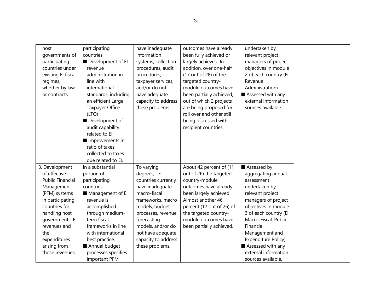| host<br>governments of<br>participating<br>countries under<br>existing El fiscal<br>regimes,<br>whether by law<br>or contracts.                                                                                                             | participating<br>countries:<br>Development of El<br>revenue<br>administration in<br>line with<br>international<br>standards, including<br>an efficient Large<br>Taxpayer Office<br>(LTO)<br>Development of<br>audit capability<br>related to El<br>Improvements in<br>ratio of taxes<br>collected to taxes<br>due related to El. | have inadequate<br>information<br>systems, collection<br>procedures, audit<br>procedures,<br>taxpayer services,<br>and/or do not<br>have adequate<br>capacity to address<br>these problems.                                                         | outcomes have already<br>been fully achieved or<br>largely achieved. In<br>addition, over one-half<br>(17 out of 28) of the<br>targeted country-<br>module outcomes have<br>been partially achieved,<br>out of which 2 projects<br>are being proposed for<br>roll over and other still<br>being discussed with<br>recipient countries. | undertaken by<br>relevant project<br>managers of project<br>objectives in module<br>2 of each country (El<br>Revenue<br>Administration).<br>Assessed with any<br>external information<br>sources available.                                                                                                    |  |
|---------------------------------------------------------------------------------------------------------------------------------------------------------------------------------------------------------------------------------------------|----------------------------------------------------------------------------------------------------------------------------------------------------------------------------------------------------------------------------------------------------------------------------------------------------------------------------------|-----------------------------------------------------------------------------------------------------------------------------------------------------------------------------------------------------------------------------------------------------|----------------------------------------------------------------------------------------------------------------------------------------------------------------------------------------------------------------------------------------------------------------------------------------------------------------------------------------|----------------------------------------------------------------------------------------------------------------------------------------------------------------------------------------------------------------------------------------------------------------------------------------------------------------|--|
| 3. Development<br>of effective<br><b>Public Financial</b><br>Management<br>(PFM) systems<br>in participating<br>countries for<br>handling host<br>governments' El<br>revenues and<br>the<br>expenditures<br>arising from<br>those revenues. | In a substantial<br>portion of<br>participating<br>countries:<br>Management of El<br>revenue is<br>accomplished<br>through medium-<br>term fiscal<br>frameworks in line<br>with international<br>best practice.<br>Annual budget<br>processes specifies<br>important PFM                                                         | To varying<br>degrees, TF<br>countries currently<br>have inadequate<br>macro-fiscal<br>frameworks, macro<br>models, budget<br>processes, revenue<br>forecasting<br>models, and/or do<br>not have adequate<br>capacity to address<br>these problems. | About 42 percent of (11<br>out of 26) the targeted<br>country-module<br>outcomes have already<br>been largely achieved.<br>Almost another 46<br>percent (12 out of 26) of<br>the targeted country-<br>module outcomes have<br>been partially achieved.                                                                                 | Assessed by<br>aggregating annual<br>assessment<br>undertaken by<br>relevant project<br>managers of project<br>objectives in module<br>3 of each country (El<br>Macro-Fiscal, Public<br>Financial<br>Management and<br>Expenditure Policy).<br>Assessed with any<br>external information<br>sources available. |  |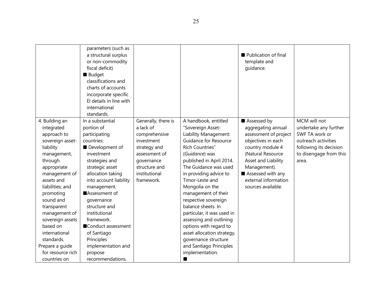|                                                                                                                                                                                                                                                                                                                                                           | parameters (such as<br>a structural surplus<br>or non-commodity<br>fiscal deficit)<br><b>Budget</b><br>classifications and<br>charts of accounts<br>incorporate specific<br>El details in line with<br>international<br>standards.                                                                                                                                                       |                                                                                                                                                                |                                                                                                                                                                                                                                                                                                                                                                                                                                                                                                                        | Publication of final<br>template and<br>guidance.                                                                                                                                                                                   |                                                                                                                                             |
|-----------------------------------------------------------------------------------------------------------------------------------------------------------------------------------------------------------------------------------------------------------------------------------------------------------------------------------------------------------|------------------------------------------------------------------------------------------------------------------------------------------------------------------------------------------------------------------------------------------------------------------------------------------------------------------------------------------------------------------------------------------|----------------------------------------------------------------------------------------------------------------------------------------------------------------|------------------------------------------------------------------------------------------------------------------------------------------------------------------------------------------------------------------------------------------------------------------------------------------------------------------------------------------------------------------------------------------------------------------------------------------------------------------------------------------------------------------------|-------------------------------------------------------------------------------------------------------------------------------------------------------------------------------------------------------------------------------------|---------------------------------------------------------------------------------------------------------------------------------------------|
| 4. Building an<br>integrated<br>approach to<br>sovereign asset-<br>liability<br>management,<br>through<br>appropriate<br>management of<br>assets and<br>liabilities; and<br>promoting<br>sound and<br>transparent<br>management of<br>sovereign assets<br>based on<br>international<br>standards.<br>Prepare a guide<br>for resource rich<br>countries on | In a substantial<br>portion of<br>participating<br>countries:<br>Development of<br>investment<br>strategies and<br>strategic asset<br>allocation taking<br>into account liability<br>management.<br>Assessment of<br>governance<br>structure and<br>institutional<br>framework.<br>■Conduct assessment<br>of Santiago<br>Principles<br>implementation and<br>propose<br>recommendations. | Generally, there is<br>a lack of<br>comprehensive<br>investment<br>strategy and<br>assessment of<br>governance<br>structure and<br>institutional<br>framework. | A handbook, entitled<br>"Sovereign Asset-<br>Liability Management:<br>Guidance for Resource<br>Rich Countries"<br>(Guidance) was<br>published in April 2014.<br>The Guidance was used<br>in providing advice to<br>Timor-Leste and<br>Mongolia on the<br>management of their<br>respective sovereign<br>balance sheets. In<br>particular, it was used in<br>assessing and outlining<br>options with regard to<br>asset allocation strategy,<br>governance structure<br>and Santiago Principles<br>implementation.<br>ш | Assessed by<br>aggregating annual<br>assessment of project<br>objectives in each<br>country module 4<br>(Natural Resource<br>Asset and Liability<br>Management).<br>Assessed with any<br>external information<br>sources available. | MCM will not<br>undertake any further<br>SWF TA work or<br>outreach activities<br>following its decision<br>to disengage from this<br>area. |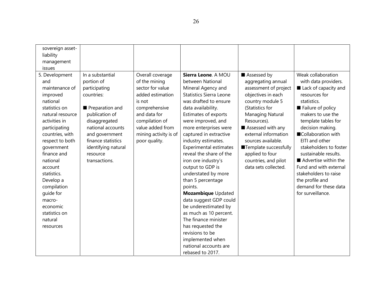| sovereign asset-<br>liability<br>management<br>issues                                                                                                                                                                                                                                                                                                   |                                                                                                                                                                                                                                      |                                                                                                                                                                                                      |                                                                                                                                                                                                                                                                                                                                                                                                                                                                                                                                                                                                                                                                         |                                                                                                                                                                                                                                                                                                                                  |                                                                                                                                                                                                                                                                                                                                                                                                                               |
|---------------------------------------------------------------------------------------------------------------------------------------------------------------------------------------------------------------------------------------------------------------------------------------------------------------------------------------------------------|--------------------------------------------------------------------------------------------------------------------------------------------------------------------------------------------------------------------------------------|------------------------------------------------------------------------------------------------------------------------------------------------------------------------------------------------------|-------------------------------------------------------------------------------------------------------------------------------------------------------------------------------------------------------------------------------------------------------------------------------------------------------------------------------------------------------------------------------------------------------------------------------------------------------------------------------------------------------------------------------------------------------------------------------------------------------------------------------------------------------------------------|----------------------------------------------------------------------------------------------------------------------------------------------------------------------------------------------------------------------------------------------------------------------------------------------------------------------------------|-------------------------------------------------------------------------------------------------------------------------------------------------------------------------------------------------------------------------------------------------------------------------------------------------------------------------------------------------------------------------------------------------------------------------------|
| 5. Development<br>and<br>maintenance of<br>improved<br>national<br>statistics on<br>natural resource<br>activities in<br>participating<br>countries, with<br>respect to both<br>government<br>finance and<br>national<br>account<br>statistics.<br>Develop a<br>compilation<br>guide for<br>macro-<br>economic<br>statistics on<br>natural<br>resources | In a substantial<br>portion of<br>participating<br>countries:<br>Preparation and<br>publication of<br>disaggregated<br>national accounts<br>and government<br>finance statistics<br>identifying natural<br>resource<br>transactions. | Overall coverage<br>of the mining<br>sector for value<br>added estimation<br>is not<br>comprehensive<br>and data for<br>compilation of<br>value added from<br>mining activity is of<br>poor quality. | Sierra Leone. A MOU<br>between National<br>Mineral Agency and<br><b>Statistics Sierra Leone</b><br>was drafted to ensure<br>data availability.<br>Estimates of exports<br>were improved, and<br>more enterprises were<br>captured in extractive<br>industry estimates.<br><b>Experimental estimates</b><br>reveal the share of the<br>iron ore industry's<br>output to GDP is<br>understated by more<br>than 5 percentage<br>points.<br>Mozambique Updated<br>data suggest GDP could<br>be underestimated by<br>as much as 10 percent.<br>The finance minister<br>has requested the<br>revisions to be<br>implemented when<br>national accounts are<br>rebased to 2017. | Assessed by<br>aggregating annual<br>assessment of project<br>objectives in each<br>country module 5<br>(Statistics for<br><b>Managing Natural</b><br>Resources).<br>Assessed with any<br>external information<br>sources available.<br>Template successfully<br>applied to four<br>countries, and pilot<br>data sets collected. | Weak collaboration<br>with data providers.<br>Lack of capacity and<br>resources for<br>statistics.<br>Failure of policy<br>makers to use the<br>template tables for<br>decision making.<br>Collaboration with<br>EITI and other<br>stakeholders to foster<br>sustainable results.<br>Advertise within the<br>Fund and with external<br>stakeholders to raise<br>the profile and<br>demand for these data<br>for surveillance. |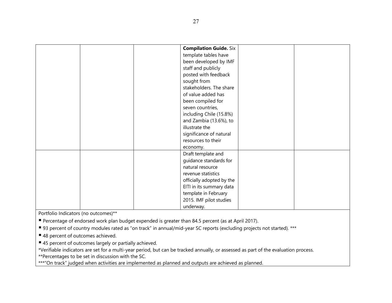| <b>Compilation Guide. Six</b> |
|-------------------------------|
| template tables have          |
| been developed by IMF         |
| staff and publicly            |
| posted with feedback          |
| sought from                   |
| stakeholders. The share       |
| of value added has            |
| been compiled for             |
| seven countries,              |
| including Chile (15.8%)       |
| and Zambia (13.6%), to        |
| illustrate the                |
| significance of natural       |
| resources to their            |
| economy.                      |
| Draft template and            |
| guidance standards for        |
| natural resource              |
| revenue statistics            |
| officially adopted by the     |
| EITI in its summary data      |
| template in February          |
| 2015. IMF pilot studies       |
| underway.                     |

Portfolio Indicators (no outcomes)\*\*

**Percentage of endorsed work plan budget expended is greater than 84.5 percent (as at April 2017).** 

■ 93 percent of country modules rated as "on track" in annual/mid-year SC reports (excluding projects not started). \*\*\*

■ 48 percent of outcomes achieved.

■ 45 percent of outcomes largely or partially achieved.

\*Verifiable indicators are set for a multi-year period, but can be tracked annually, or assessed as part of the evaluation process.

\*\*Percentages to be set in discussion with the SC.

\*\*\*"On track" judged when activities are implemented as planned and outputs are achieved as planned.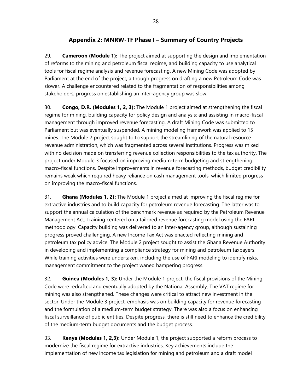# **Appendix 2: MNRW-TF Phase I – Summary of Country Projects**

29. **Cameroon (Module 1):** The project aimed at supporting the design and implementation of reforms to the mining and petroleum fiscal regime, and building capacity to use analytical tools for fiscal regime analysis and revenue forecasting. A new Mining Code was adopted by Parliament at the end of the project, although progress on drafting a new Petroleum Code was slower. A challenge encountered related to the fragmentation of responsibilities among stakeholders; progress on establishing an inter-agency group was slow.

30. **Congo, D.R. (Modules 1, 2, 3):** The Module 1 project aimed at strengthening the fiscal regime for mining, building capacity for policy design and analysis; and assisting in macro-fiscal management through improved revenue forecasting. A draft Mining Code was submitted to Parliament but was eventually suspended. A mining modeling framework was applied to 15 mines. The Module 2 project sought to to support the streamlining of the natural resource revenue administration, which was fragmented across several institutions. Progress was mixed with no decision made on transferring revenue collection responsibilities to the tax authority. The project under Module 3 focused on improving medium-term budgeting and strengthening macro-fiscal functions. Despite improvements in revenue forecasting methods, budget credibility remains weak which required heavy reliance on cash management tools, which limited progress on improving the macro-fiscal functions.

31. **Ghana (Modules 1, 2):** The Module 1 project aimed at improving the fiscal regime for extractive industries and to build capacity for petroleum revenue forecasting. The latter was to support the annual calculation of the benchmark revenue as required by the Petroleum Revenue Management Act. Training centered on a tailored revenue forecasting model using the FARI methodology. Capacity building was delivered to an inter-agency group, although sustaining progress proved challenging. A new Income Tax Act was enacted reflecting mining and petroleum tax policy advice. The Module 2 project sought to assist the Ghana Revenue Authority in developing and implementing a compliance strategy for mining and petroleum taxpayers. While training activities were undertaken, including the use of FARI modeling to identify risks, management commitment to the project waned hampering progress.

32. **Guinea (Modules 1, 3):** Under the Module 1 project, the fiscal provisions of the Mining Code were redrafted and eventually adopted by the National Assembly. The VAT regime for mining was also strengthened. These changes were critical to attract new investment in the sector. Under the Module 3 project, emphasis was on building capacity for revenue forecasting and the formulation of a medium-term budget strategy. There was also a focus on enhancing fiscal surveillance of public entities. Despite progress, there is still need to enhance the credibility of the medium-term budget documents and the budget process.

33. **Kenya (Modules 1, 2,3):** Under Module 1, the project supported a reform process to modernize the fiscal regime for extractive industries. Key achievements include the implementation of new income tax legislation for mining and petroleum and a draft model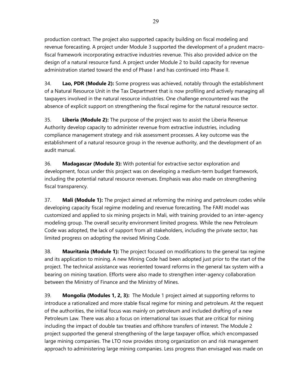production contract. The project also supported capacity building on fiscal modeling and revenue forecasting. A project under Module 3 supported the development of a prudent macrofiscal framework incorporating extractive industries revenue. This also provided advice on the design of a natural resource fund. A project under Module 2 to build capacity for revenue administration started toward the end of Phase I and has continued into Phase II.

34. **Lao, PDR (Module 2):** Some progress was achieved, notably through the establishment of a Natural Resource Unit in the Tax Department that is now profiling and actively managing all taxpayers involved in the natural resource industries. One challenge encountered was the absence of explicit support on strengthening the fiscal regime for the natural resource sector.

35. **Liberia (Module 2):** The purpose of the project was to assist the Liberia Revenue Authority develop capacity to administer revenue from extractive industries, including compliance management strategy and risk assessment processes. A key outcome was the establishment of a natural resource group in the revenue authority, and the development of an audit manual.

36. **Madagascar (Module 3):** With potential for extractive sector exploration and development, focus under this project was on developing a medium-term budget framework, including the potential natural resource revenues. Emphasis was also made on strengthening fiscal transparency.

37. **Mali (Module 1):** The project aimed at reforming the mining and petroleum codes while developing capacity fiscal regime modeling and revenue forecasting. The FARI model was customized and applied to six mining projects in Mali, with training provided to an inter-agency modeling group. The overall security environment limited progress. While the new Petroleum Code was adopted, the lack of support from all stakeholders, including the private sector, has limited progress on adopting the revised Mining Code.

38. **Mauritania (Module 1):** The project focused on modifications to the general tax regime and its application to mining. A new Mining Code had been adopted just prior to the start of the project. The technical assistance was reoriented toward reforms in the general tax system with a bearing on mining taxation. Efforts were also made to strengthen inter-agency collaboration between the Ministry of Finance and the Ministry of Mines.

39. **Mongolia (Modules 1, 2, 3):** The Module 1 project aimed at supporting reforms to introduce a rationalized and more stable fiscal regime for mining and petroleum. At the request of the authorities, the initial focus was mainly on petroleum and included drafting of a new Petroleum Law. There was also a focus on international tax issues that are critical for mining including the impact of double tax treaties and offshore transfers of interest. The Module 2 project supported the general strengthening of the large taxpayer office, which encompassed large mining companies. The LTO now provides strong organization on and risk management approach to administering large mining companies. Less progress than envisaged was made on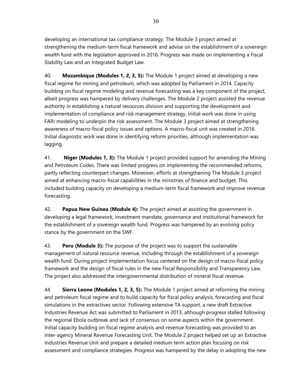developing an international tax compliance strategy. The Module 3 project aimed at strengthening the medium-term fiscal framework and advise on the establishment of a sovereign wealth fund with the legislation approved in 2016. Progress was made on implementing a Fiscal Stability Law and an Integrated Budget Law.

40. **Mozambique (Modules 1, 2, 3, 5):** The Module 1 project aimed at developing a new fiscal regime for mining and petroleum, which was adopted by Parliament in 2014. Capacity building on fiscal regime modeling and revenue forecasting was a key component of the project, albeit progress was hampered by delivery challenges. The Module 2 project assisted the revenue authority in establishing a natural resources division and supporting the development and implementation of compliance and risk management strategy. Initial work was done in using FARI modeling to underpin the risk assessment. The Module 3 project aimed at strengthening awareness of macro-fiscal policy issues and options. A macro-fiscal unit was created in 2016. Initial diagnostic work was done in identifying reform priorities, although implementation was lagging.

41. **Niger (Modules 1, 3):** The Module 1 project provided support for amending the Mining and Petroleum Codes. There was limited progress on implementing the recommended reforms, partly reflecting counterpart changes. Moreover, efforts at strengthening The Module 3 project aimed at enhancing macro-fiscal capabilities in the ministries of finance and budget. This included building capacity on developing a medium-term fiscal framework and improve revenue forecasting.

42. **Papua New Guinea (Module 4):** The project aimed at assisting the government in developing a legal framework, investment mandate, governance and institutional framework for the establishment of a sovereign wealth fund. Progress was hampered by an evolving policy stance by the government on the SWF.

43. **Peru (Module 3):** The purpose of the project was to support the sustainable management of natural resource revenue, including through the establishment of a sovereign wealth fund. During project implementation focus centered on the design of macro-fiscal policy framework and the design of fiscal rules in the new Fiscal Responsibility and Transparency Law. The project also addressed the intergovernmental distribution of mineral fiscal revenue.

44. **Sierra Leone (Modules 1, 2, 3, 5):** The Module 1 project aimed at reforming the mining and petroleum fiscal regime and to build capacity for fiscal policy analysis, forecasting and fiscal simulations in the extractives sector. Following extensive TA support, a new draft Extractive Industries Revenue Act was submitted to Parliament in 2013, although progress stalled following the regional Ebola outbreak and lack of consensus on some aspects within the government. Initial capacity building on fiscal regime analysis and revenue forecasting was provided to an inter-agency Mineral Revenue Forecasting Unit. The Module 2 project helped set up an Extractive Industries Revenue Unit and prepare a detailed medium term action plan focusing on risk assessment and compliance strategies. Progress was hampered by the delay in adopting the new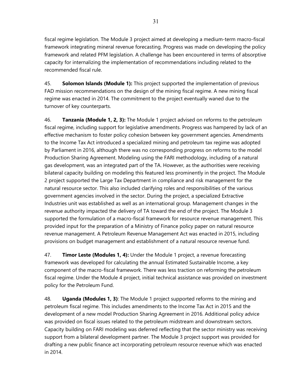fiscal regime legislation. The Module 3 project aimed at developing a medium-term macro-fiscal framework integrating mineral revenue forecasting. Progress was made on developing the policy framework and related PFM legislation. A challenge has been encountered in terms of absorptive capacity for internalizing the implementation of recommendations including related to the recommended fiscal rule.

45. **Solomon Islands (Module 1):** This project supported the implementation of previous FAD mission recommendations on the design of the mining fiscal regime. A new mining fiscal regime was enacted in 2014. The commitment to the project eventually waned due to the turnover of key counterparts.

46. **Tanzania (Module 1, 2, 3):** The Module 1 project advised on reforms to the petroleum fiscal regime, including support for legislative amendments. Progress was hampered by lack of an effective mechanism to foster policy cohesion between key government agencies. Amendments to the Income Tax Act introduced a specialized mining and petroleum tax regime was adopted by Parliament in 2016, although there was no corresponding progress on reforms to the model Production Sharing Agreement. Modeling using the FARI methodology, including of a natural gas development, was an integrated part of the TA. However, as the authorities were receiving bilateral capacity building on modeling this featured less prominently in the project. The Module 2 project supported the Large Tax Department in compliance and risk management for the natural resource sector. This also included clarifying roles and responsibilities of the various government agencies involved in the sector. During the project, a specialized Extractive Industries unit was established as well as an international group. Management changes in the revenue authority impacted the delivery of TA toward the end of the project. The Module 3 supported the formulation of a macro-fiscal framework for resource revenue management. This provided input for the preparation of a Ministry of Finance policy paper on natural resource revenue management. A Petroleum Revenue Management Act was enacted in 2015, including provisions on budget management and establishment of a natural resource revenue fund.

47. **Timor Leste (Modules 1, 4):** Under the Module 1 project, a revenue forecasting framework was developed for calculating the annual Estimated Sustainable Income, a key component of the macro-fiscal framework. There was less traction on reforming the petroleum fiscal regime. Under the Module 4 project, initial technical assistance was provided on investment policy for the Petroleum Fund.

48. **Uganda (Modules 1, 3)**: The Module 1 project supported reforms to the mining and petroleum fiscal regime. This includes amendments to the Income Tax Act in 2015 and the development of a new model Production Sharing Agreement in 2016. Additional policy advice was provided on fiscal issues related to the petroleum midstream and downstream sectors. Capacity building on FARI modeling was deferred reflecting that the sector ministry was receiving support from a bilateral development partner. The Module 3 project support was provided for drafting a new public finance act incorporating petroleum resource revenue which was enacted in 2014.